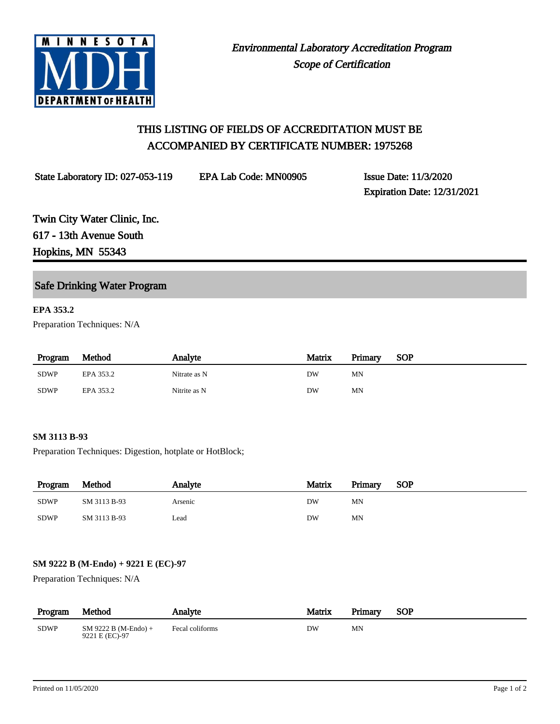

# THIS LISTING OF FIELDS OF ACCREDITATION MUST BE ACCOMPANIED BY CERTIFICATE NUMBER: 1975268

State Laboratory ID: 027-053-119 EPA Lab Code: MN00905 Issue Date: 11/3/2020

Expiration Date: 12/31/2021

Twin City Water Clinic, Inc. 617 - 13th Avenue South Hopkins, MN 55343

# Safe Drinking Water Program

# **EPA 353.2**

Preparation Techniques: N/A

| Program     | Method    | Analyte      | Matrix | Primary | SOP |
|-------------|-----------|--------------|--------|---------|-----|
| <b>SDWP</b> | EPA 353.2 | Nitrate as N | DW     | MN      |     |
| <b>SDWP</b> | EPA 353.2 | Nitrite as N | DW     | MN      |     |

#### **SM 3113 B-93**

Preparation Techniques: Digestion, hotplate or HotBlock;

| Program     | Method       | Analyte | Matrix | Primary | <b>SOP</b> |
|-------------|--------------|---------|--------|---------|------------|
| <b>SDWP</b> | SM 3113 B-93 | Arsenic | DW     | MΝ      |            |
| <b>SDWP</b> | SM 3113 B-93 | Lead    | DW     | MN      |            |

# **SM 9222 B (M-Endo) + 9221 E (EC)-97**

Preparation Techniques: N/A

| Program     | Method                                   | Analyte         | Matrix | Primary | <b>SOP</b> |
|-------------|------------------------------------------|-----------------|--------|---------|------------|
| <b>SDWP</b> | $SM$ 9222 B (M-Endo) +<br>9221 E (EC)-97 | Fecal coliforms | DW     | MΝ      |            |